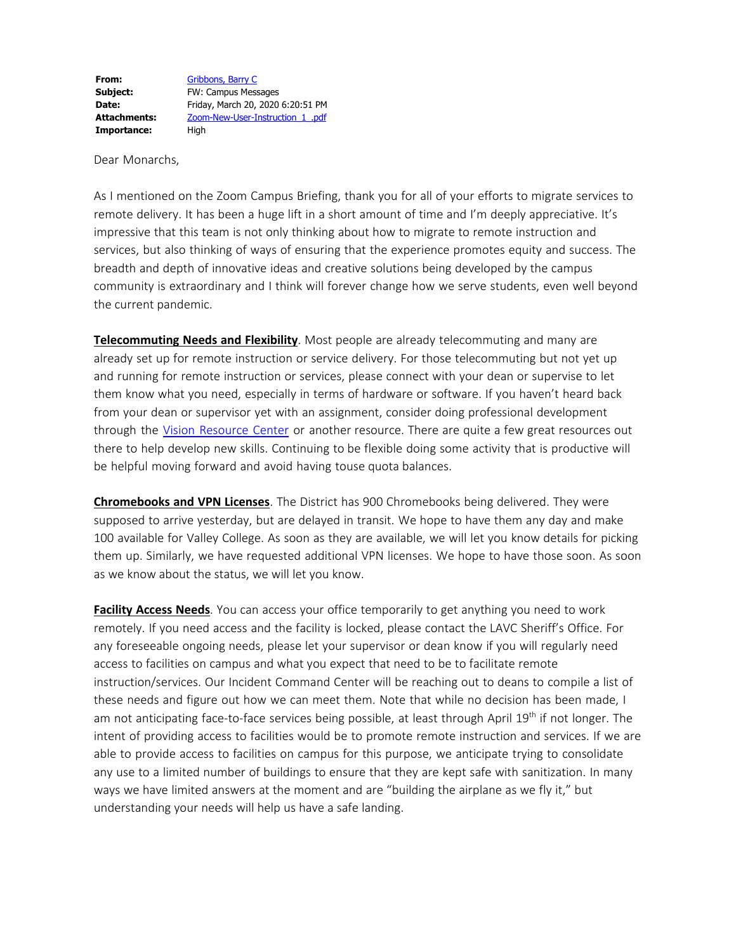**From:** [Gribbons,](mailto:Barry.Gribbons@lavc.edu) Barry C **Subject:** FW: Campus Messages **Date:** Friday, March 20, 2020 6:20:51 PM **Attachments:** Zoom-New-User-Instruction\_1\_.pdf Importance: High

Dear Monarchs,

As I mentioned on the Zoom Campus Briefing, thank you for all of your efforts to migrate services to remote delivery. It has been a huge lift in a short amount of time and I'm deeply appreciative. It's impressive that this team is not only thinking about how to migrate to remote instruction and services, but also thinking of ways of ensuring that the experience promotes equity and success. The breadth and depth of innovative ideas and creative solutions being developed by the campus community is extraordinary and I think will forever change how we serve students, even well beyond the current pandemic.

**Telecommuting Needs and Flexibility**. Most people are already telecommuting and many are already set up for remote instruction or service delivery. For those telecommuting but not yet up and running for remote instruction or services, please connect with your dean or supervise to let them know what you need, especially in terms of hardware or software. If you haven't heard back from your dean or supervisor yet with an assignment, consider doing professional development through the Vision [Resource](https://cccpln.csod.com/client/cccpln/default.aspx) Center or another resource. There are quite a few great resources out there to help develop new skills. Continuing to be flexible doing some activity that is productive will be helpful moving forward and avoid having touse quota balances.

**Chromebooks and VPN Licenses**. The District has 900 Chromebooks being delivered. They were supposed to arrive yesterday, but are delayed in transit. We hope to have them any day and make 100 available for Valley College. As soon as they are available, we will let you know details for picking them up. Similarly, we have requested additional VPN licenses. We hope to have those soon. As soon as we know about the status, we will let you know.

**Facility Access Needs**. You can access your office temporarily to get anything you need to work remotely. If you need access and the facility is locked, please contact the LAVC Sheriff's Office. For any foreseeable ongoing needs, please let your supervisor or dean know if you will regularly need access to facilities on campus and what you expect that need to be to facilitate remote instruction/services. Our Incident Command Center will be reaching out to deans to compile a list of these needs and figure out how we can meet them. Note that while no decision has been made, I am not anticipating face-to-face services being possible, at least through April 19<sup>th</sup> if not longer. The intent of providing access to facilities would be to promote remote instruction and services. If we are able to provide access to facilities on campus for this purpose, we anticipate trying to consolidate any use to a limited number of buildings to ensure that they are kept safe with sanitization. In many ways we have limited answers at the moment and are "building the airplane as we fly it," but understanding your needs will help us have a safe landing.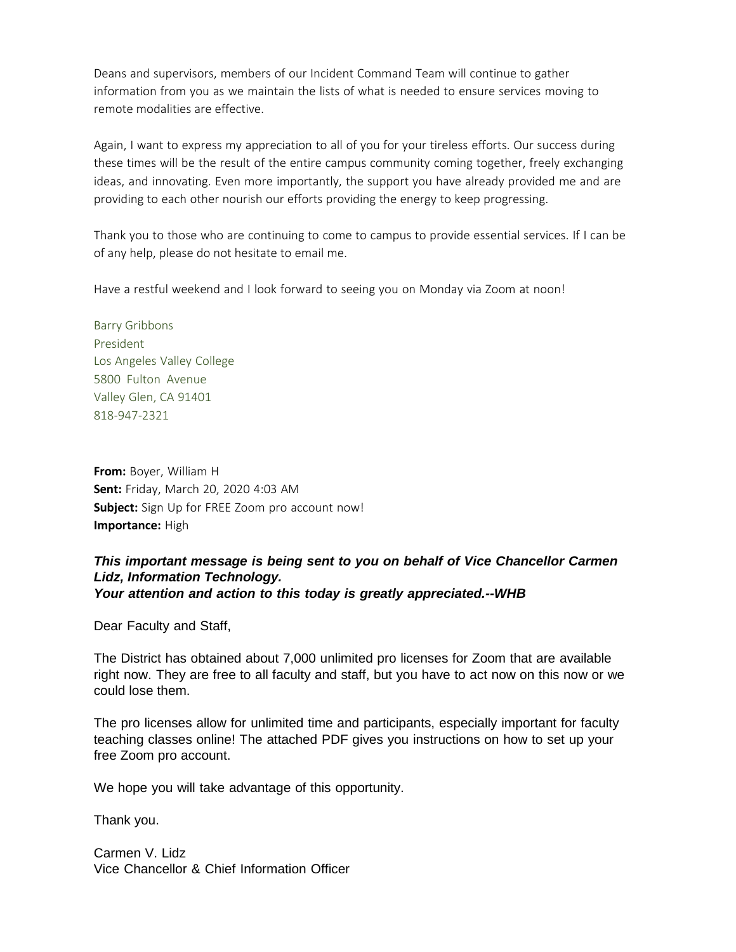Deans and supervisors, members of our Incident Command Team will continue to gather information from you as we maintain the lists of what is needed to ensure services moving to remote modalities are effective.

Again, I want to express my appreciation to all of you for your tireless efforts. Our success during these times will be the result of the entire campus community coming together, freely exchanging ideas, and innovating. Even more importantly, the support you have already provided me and are providing to each other nourish our efforts providing the energy to keep progressing.

Thank you to those who are continuing to come to campus to provide essential services. If I can be of any help, please do not hesitate to email me.

Have a restful weekend and I look forward to seeing you on Monday via Zoom at noon!

Barry Gribbons President Los Angeles Valley College 5800 Fulton Avenue Valley Glen, CA 91401 818-947-2321

**From:** Boyer, William H **Sent:** Friday, March 20, 2020 4:03 AM **Subject:** Sign Up for FREE Zoom pro account now! **Importance:** High

## *This important message is being sent to you on behalf of Vice Chancellor Carmen Lidz, Information Technology. Your attention and action to this today is greatly appreciated.--WHB*

Dear Faculty and Staff,

The District has obtained about 7,000 unlimited pro licenses for Zoom that are available right now. They are free to all faculty and staff, but you have to act now on this now or we could lose them.

The pro licenses allow for unlimited time and participants, especially important for faculty teaching classes online! The attached PDF gives you instructions on how to set up your free Zoom pro account.

We hope you will take advantage of this opportunity.

Thank you.

Carmen V. Lidz Vice Chancellor & Chief Information Officer